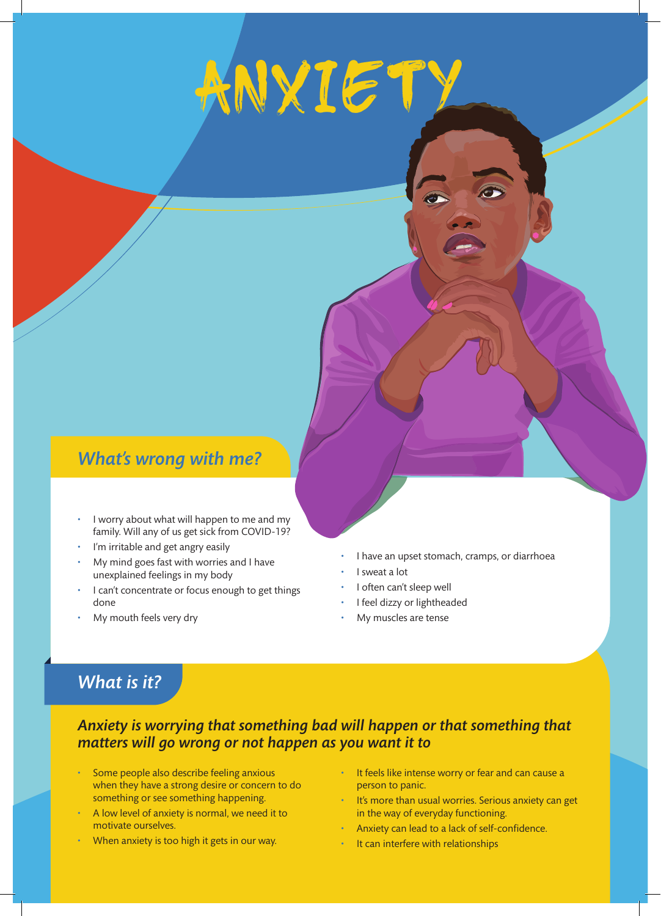# **ANXIETY**

# *What's wrong with me?*

- I worry about what will happen to me and my family. Will any of us get sick from COVID-19?
- I'm irritable and get angry easily
- My mind goes fast with worries and I have unexplained feelings in my body
- I can't concentrate or focus enough to get things done
- My mouth feels very dry
- I have an upset stomach, cramps, or diarrhoea
- I sweat a lot
- I often can't sleep well
- I feel dizzy or lightheaded
- My muscles are tense

# *What is it?*

#### *Anxiety is worrying that something bad will happen or that something that matters will go wrong or not happen as you want it to*

- Some people also describe feeling anxious when they have a strong desire or concern to do something or see something happening.
- A low level of anxiety is normal, we need it to motivate ourselves.
- When anxiety is too high it gets in our way.
- It feels like intense worry or fear and can cause a person to panic.
- It's more than usual worries. Serious anxiety can get in the way of everyday functioning.
- Anxiety can lead to a lack of self-confidence.
- It can interfere with relationships